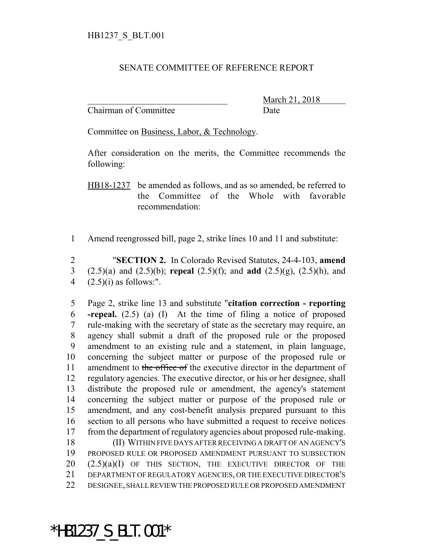## SENATE COMMITTEE OF REFERENCE REPORT

Chairman of Committee Date

\_\_\_\_\_\_\_\_\_\_\_\_\_\_\_\_\_\_\_\_\_\_\_\_\_\_\_\_\_\_\_ March 21, 2018

Committee on Business, Labor, & Technology.

After consideration on the merits, the Committee recommends the following:

HB18-1237 be amended as follows, and as so amended, be referred to the Committee of the Whole with favorable recommendation:

1 Amend reengrossed bill, page 2, strike lines 10 and 11 and substitute:

2 "**SECTION 2.** In Colorado Revised Statutes, 24-4-103, **amend** 3 (2.5)(a) and (2.5)(b); **repeal** (2.5)(f); and **add** (2.5)(g), (2.5)(h), and 4  $(2.5)(i)$  as follows:".

 Page 2, strike line 13 and substitute "**citation correction - reporting -repeal.** (2.5) (a) (I) At the time of filing a notice of proposed rule-making with the secretary of state as the secretary may require, an agency shall submit a draft of the proposed rule or the proposed amendment to an existing rule and a statement, in plain language, concerning the subject matter or purpose of the proposed rule or 11 amendment to the office of the executive director in the department of regulatory agencies. The executive director, or his or her designee, shall distribute the proposed rule or amendment, the agency's statement concerning the subject matter or purpose of the proposed rule or amendment, and any cost-benefit analysis prepared pursuant to this section to all persons who have submitted a request to receive notices from the department of regulatory agencies about proposed rule-making. (II) WITHIN FIVE DAYS AFTER RECEIVING A DRAFT OF AN AGENCY'S PROPOSED RULE OR PROPOSED AMENDMENT PURSUANT TO SUBSECTION 20 (2.5)(a)(I) OF THIS SECTION, THE EXECUTIVE DIRECTOR OF THE DEPARTMENT OF REGULATORY AGENCIES, OR THE EXECUTIVE DIRECTOR'S

22 DESIGNEE, SHALL REVIEW THE PROPOSED RULE OR PROPOSED AMENDMENT

\*HB1237\_S\_BLT.001\*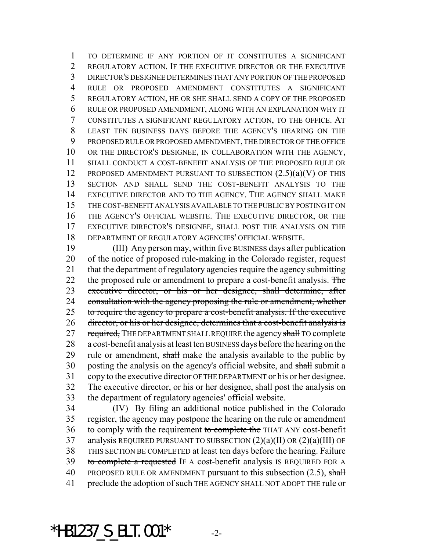TO DETERMINE IF ANY PORTION OF IT CONSTITUTES A SIGNIFICANT REGULATORY ACTION. IF THE EXECUTIVE DIRECTOR OR THE EXECUTIVE DIRECTOR'S DESIGNEE DETERMINES THAT ANY PORTION OF THE PROPOSED RULE OR PROPOSED AMENDMENT CONSTITUTES A SIGNIFICANT REGULATORY ACTION, HE OR SHE SHALL SEND A COPY OF THE PROPOSED RULE OR PROPOSED AMENDMENT, ALONG WITH AN EXPLANATION WHY IT CONSTITUTES A SIGNIFICANT REGULATORY ACTION, TO THE OFFICE. AT LEAST TEN BUSINESS DAYS BEFORE THE AGENCY'S HEARING ON THE PROPOSED RULE OR PROPOSED AMENDMENT, THE DIRECTOR OF THE OFFICE OR THE DIRECTOR'S DESIGNEE, IN COLLABORATION WITH THE AGENCY, SHALL CONDUCT A COST-BENEFIT ANALYSIS OF THE PROPOSED RULE OR 12 PROPOSED AMENDMENT PURSUANT TO SUBSECTION  $(2.5)(a)(V)$  OF THIS SECTION AND SHALL SEND THE COST-BENEFIT ANALYSIS TO THE EXECUTIVE DIRECTOR AND TO THE AGENCY. THE AGENCY SHALL MAKE THE COST-BENEFIT ANALYSIS AVAILABLE TO THE PUBLIC BY POSTING IT ON THE AGENCY'S OFFICIAL WEBSITE. THE EXECUTIVE DIRECTOR, OR THE EXECUTIVE DIRECTOR'S DESIGNEE, SHALL POST THE ANALYSIS ON THE DEPARTMENT OF REGULATORY AGENCIES' OFFICIAL WEBSITE.

 (III) Any person may, within five BUSINESS days after publication of the notice of proposed rule-making in the Colorado register, request that the department of regulatory agencies require the agency submitting 22 the proposed rule or amendment to prepare a cost-benefit analysis. The executive director, or his or her designee, shall determine, after 24 consultation with the agency proposing the rule or amendment, whether 25 to require the agency to prepare a cost-benefit analysis. If the executive director, or his or her designee, determines that a cost-benefit analysis is 27 required, THE DEPARTMENT SHALL REQUIRE the agency shall TO complete a cost-benefit analysis at least ten BUSINESS days before the hearing on the 29 rule or amendment, shall make the analysis available to the public by 30 posting the analysis on the agency's official website, and shall submit a copy to the executive director OF THE DEPARTMENT or his or her designee. The executive director, or his or her designee, shall post the analysis on the department of regulatory agencies' official website.

 (IV) By filing an additional notice published in the Colorado register, the agency may postpone the hearing on the rule or amendment 36 to comply with the requirement to complete the THAT ANY cost-benefit analysis REQUIRED PURSUANT TO SUBSECTION (2)(a)(II) OR (2)(a)(III) OF 38 THIS SECTION BE COMPLETED at least ten days before the hearing. Failure 39 to complete a requested IF A cost-benefit analysis IS REQUIRED FOR A 40 PROPOSED RULE OR AMENDMENT pursuant to this subsection  $(2.5)$ , shall 41 preclude the adoption of such THE AGENCY SHALL NOT ADOPT THE rule or

\*HB1237 S BLT.001\*  $-2$ -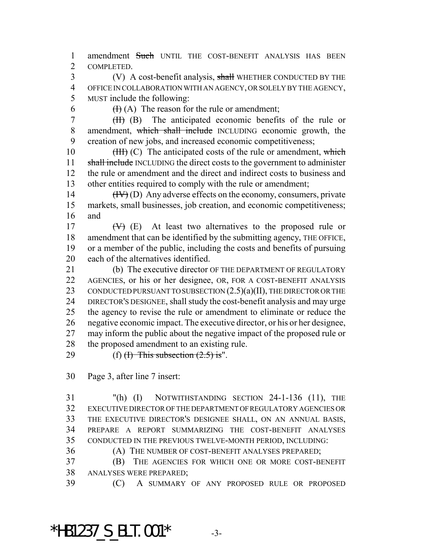1 amendment Such UNTIL THE COST-BENEFIT ANALYSIS HAS BEEN COMPLETED.

3 (V) A cost-benefit analysis, shall WHETHER CONDUCTED BY THE OFFICE IN COLLABORATION WITH AN AGENCY, OR SOLELY BY THE AGENCY, MUST include the following:

6  $(H)(A)$  The reason for the rule or amendment;

 (II) (B) The anticipated economic benefits of the rule or 8 amendment, which shall include INCLUDING economic growth, the creation of new jobs, and increased economic competitiveness;

10 (III) (C) The anticipated costs of the rule or amendment, which 11 shall include INCLUDING the direct costs to the government to administer the rule or amendment and the direct and indirect costs to business and other entities required to comply with the rule or amendment;

 (IV) (D) Any adverse effects on the economy, consumers, private markets, small businesses, job creation, and economic competitiveness; and

 $(W)$  (E) At least two alternatives to the proposed rule or amendment that can be identified by the submitting agency, THE OFFICE, or a member of the public, including the costs and benefits of pursuing each of the alternatives identified.

21 (b) The executive director OF THE DEPARTMENT OF REGULATORY AGENCIES, or his or her designee, OR, FOR A COST-BENEFIT ANALYSIS 23 CONDUCTED PURSUANT TO SUBSECTION  $(2.5)(a)(II)$ , THE DIRECTOR OR THE DIRECTOR'S DESIGNEE, shall study the cost-benefit analysis and may urge the agency to revise the rule or amendment to eliminate or reduce the negative economic impact. The executive director, or his or her designee, may inform the public about the negative impact of the proposed rule or the proposed amendment to an existing rule.

29 (f)  $(H)$  This subsection  $(2.5)$  is".

Page 3, after line 7 insert:

 "(h) (I) NOTWITHSTANDING SECTION 24-1-136 (11), THE EXECUTIVE DIRECTOR OF THE DEPARTMENT OF REGULATORY AGENCIES OR THE EXECUTIVE DIRECTOR'S DESIGNEE SHALL, ON AN ANNUAL BASIS, PREPARE A REPORT SUMMARIZING THE COST-BENEFIT ANALYSES CONDUCTED IN THE PREVIOUS TWELVE-MONTH PERIOD, INCLUDING:

(A) THE NUMBER OF COST-BENEFIT ANALYSES PREPARED;

 (B) THE AGENCIES FOR WHICH ONE OR MORE COST-BENEFIT ANALYSES WERE PREPARED;

(C) A SUMMARY OF ANY PROPOSED RULE OR PROPOSED

\*HB1237 S BLT.001\*  $-3$ -